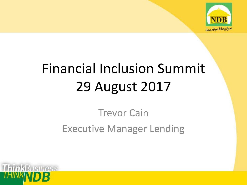

# Financial Inclusion Summit 29 August 2017

#### Trevor Cain Executive Manager Lending

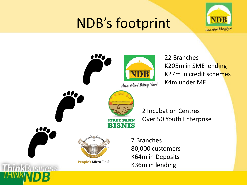### NDB's footprint



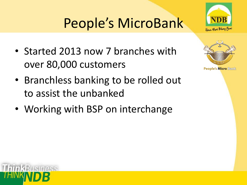## People's MicroBank

- Started 2013 now 7 branches with over 80,000 customers
- Branchless banking to be rolled out to assist the unbanked
- Working with BSP on interchange



Hous Moni Bilong Yum

**People's Micro Bank** 

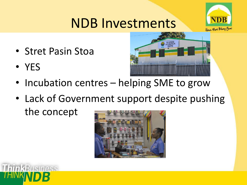#### NDB Investments



- Stret Pasin Stoa
- YES



- Incubation centres helping SME to grow
- Lack of Government support despite pushing the concept



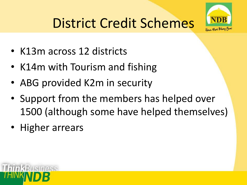## District Credit Schemes



- K13m across 12 districts
- K14m with Tourism and fishing
- ABG provided K2m in security
- Support from the members has helped over 1500 (although some have helped themselves)
- Higher arrears

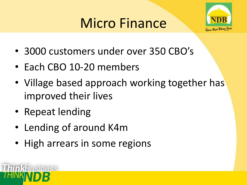### Micro Finance



- 3000 customers under over 350 CBO's
- Each CBO 10-20 members
- Village based approach working together has improved their lives
- Repeat lending
- Lending of around K4m
- High arrears in some regions

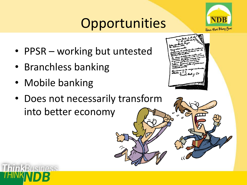## **Opportunities**

- PPSR working but untested
- Branchless banking
- Mobile banking

SINASS

• Does not necessarily transform into better economy





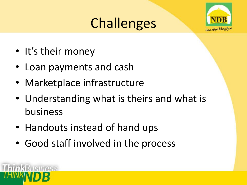### **Challenges**



- It's their money
- Loan payments and cash
- Marketplace infrastructure
- Understanding what is theirs and what is business
- Handouts instead of hand ups
- Good staff involved in the process

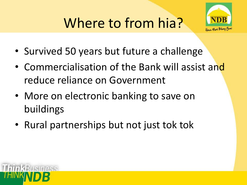# Where to from hia?



- Survived 50 years but future a challenge
- Commercialisation of the Bank will assist and reduce reliance on Government
- More on electronic banking to save on buildings
- Rural partnerships but not just tok tok